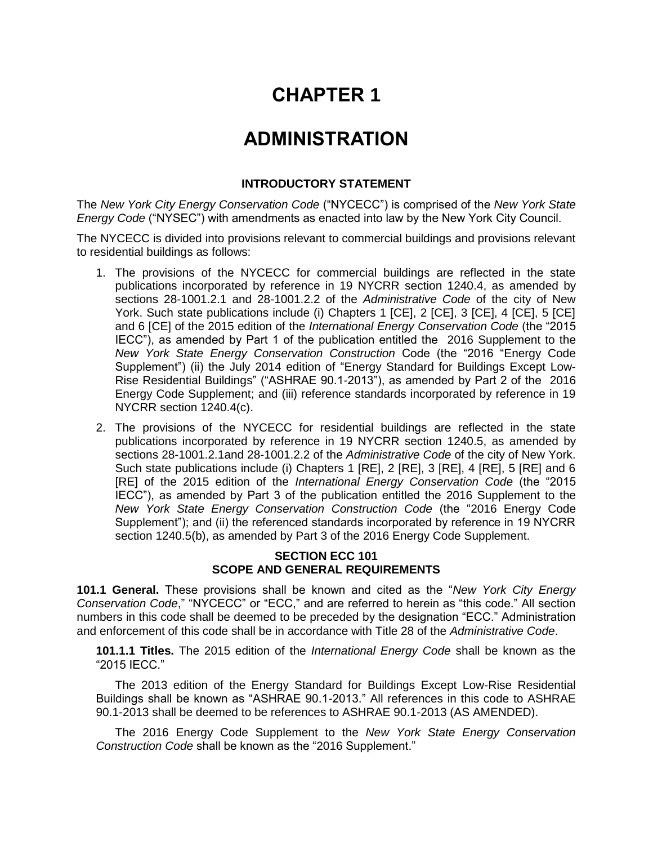# **CHAPTER 1**

## **ADMINISTRATION**

#### **INTRODUCTORY STATEMENT**

The *New York City Energy Conservation Code* ("NYCECC") is comprised of the *New York State Energy Code* ("NYSEC") with amendments as enacted into law by the New York City Council.

The NYCECC is divided into provisions relevant to commercial buildings and provisions relevant to residential buildings as follows:

- 1. The provisions of the NYCECC for commercial buildings are reflected in the state publications incorporated by reference in 19 NYCRR section 1240.4, as amended by sections 28-1001.2.1 and 28-1001.2.2 of the *Administrative Code* of the city of New York. Such state publications include (i) Chapters 1 [CE], 2 [CE], 3 [CE], 4 [CE], 5 [CE] and 6 [CE] of the 2015 edition of the *International Energy Conservation Code* (the "2015 IECC"), as amended by Part 1 of the publication entitled the 2016 Supplement to the *New York State Energy Conservation Construction* Code (the "2016 "Energy Code Supplement") (ii) the July 2014 edition of "Energy Standard for Buildings Except Low-Rise Residential Buildings" ("ASHRAE 90.1-2013"), as amended by Part 2 of the 2016 Energy Code Supplement; and (iii) reference standards incorporated by reference in 19 NYCRR section 1240.4(c).
- 2. The provisions of the NYCECC for residential buildings are reflected in the state publications incorporated by reference in 19 NYCRR section 1240.5, as amended by sections 28-1001.2.1and 28-1001.2.2 of the *Administrative Code* of the city of New York. Such state publications include (i) Chapters 1 [RE], 2 [RE], 3 [RE], 4 [RE], 5 [RE] and 6 [RE] of the 2015 edition of the *International Energy Conservation Code* (the "2015 IECC"), as amended by Part 3 of the publication entitled the 2016 Supplement to the *New York State Energy Conservation Construction Code* (the "2016 Energy Code Supplement"); and (ii) the referenced standards incorporated by reference in 19 NYCRR section 1240.5(b), as amended by Part 3 of the 2016 Energy Code Supplement.

#### **SECTION ECC 101 SCOPE AND GENERAL REQUIREMENTS**

**101.1 General.** These provisions shall be known and cited as the "*New York City Energy Conservation Code*," "NYCECC" or "ECC," and are referred to herein as "this code." All section numbers in this code shall be deemed to be preceded by the designation "ECC." Administration and enforcement of this code shall be in accordance with Title 28 of the *Administrative Code*.

**101.1.1 Titles.** The 2015 edition of the *International Energy Code* shall be known as the "2015 IECC."

The 2013 edition of the Energy Standard for Buildings Except Low-Rise Residential Buildings shall be known as "ASHRAE 90.1-2013." All references in this code to ASHRAE 90.1-2013 shall be deemed to be references to ASHRAE 90.1-2013 (AS AMENDED).

The 2016 Energy Code Supplement to the *New York State Energy Conservation Construction Code* shall be known as the "2016 Supplement."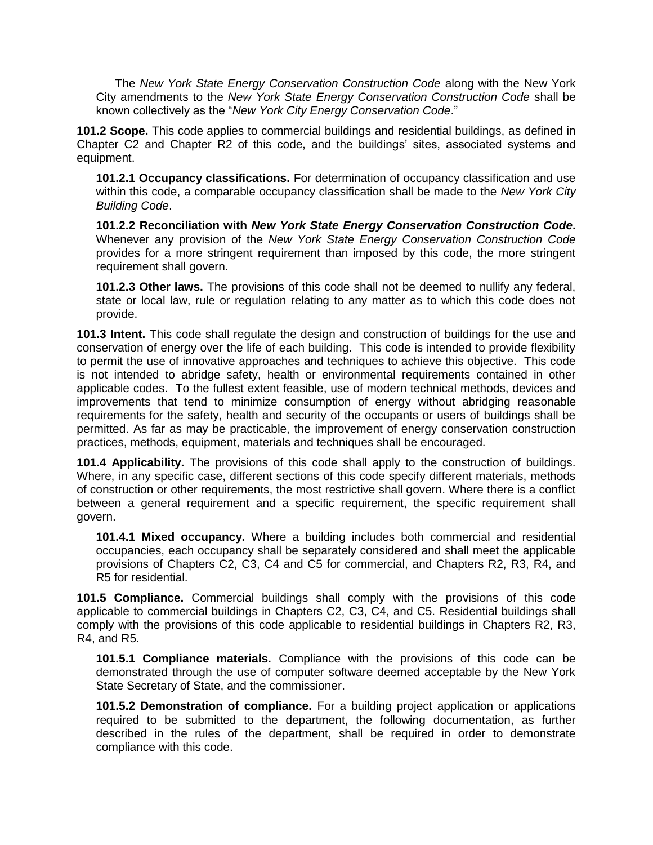The *New York State Energy Conservation Construction Code* along with the New York City amendments to the *New York State Energy Conservation Construction Code* shall be known collectively as the "*New York City Energy Conservation Code*."

**101.2 Scope.** This code applies to commercial buildings and residential buildings, as defined in Chapter C2 and Chapter R2 of this code, and the buildings' sites, associated systems and equipment.

**101.2.1 Occupancy classifications.** For determination of occupancy classification and use within this code, a comparable occupancy classification shall be made to the *New York City Building Code*.

**101.2.2 Reconciliation with** *New York State Energy Conservation Construction Code***.** Whenever any provision of the *New York State Energy Conservation Construction Code* provides for a more stringent requirement than imposed by this code, the more stringent requirement shall govern.

**101.2.3 Other laws.** The provisions of this code shall not be deemed to nullify any federal, state or local law, rule or regulation relating to any matter as to which this code does not provide.

**101.3 Intent.** This code shall regulate the design and construction of buildings for the use and conservation of energy over the life of each building. This code is intended to provide flexibility to permit the use of innovative approaches and techniques to achieve this objective. This code is not intended to abridge safety, health or environmental requirements contained in other applicable codes. To the fullest extent feasible, use of modern technical methods, devices and improvements that tend to minimize consumption of energy without abridging reasonable requirements for the safety, health and security of the occupants or users of buildings shall be permitted. As far as may be practicable, the improvement of energy conservation construction practices, methods, equipment, materials and techniques shall be encouraged.

**101.4 Applicability.** The provisions of this code shall apply to the construction of buildings. Where, in any specific case, different sections of this code specify different materials, methods of construction or other requirements, the most restrictive shall govern. Where there is a conflict between a general requirement and a specific requirement, the specific requirement shall govern.

**101.4.1 Mixed occupancy.** Where a building includes both commercial and residential occupancies, each occupancy shall be separately considered and shall meet the applicable provisions of Chapters C2, C3, C4 and C5 for commercial, and Chapters R2, R3, R4, and R5 for residential.

**101.5 Compliance.** Commercial buildings shall comply with the provisions of this code applicable to commercial buildings in Chapters C2, C3, C4, and C5. Residential buildings shall comply with the provisions of this code applicable to residential buildings in Chapters R2, R3, R4, and R5.

**101.5.1 Compliance materials.** Compliance with the provisions of this code can be demonstrated through the use of computer software deemed acceptable by the New York State Secretary of State, and the commissioner.

**101.5.2 Demonstration of compliance.** For a building project application or applications required to be submitted to the department, the following documentation, as further described in the rules of the department, shall be required in order to demonstrate compliance with this code.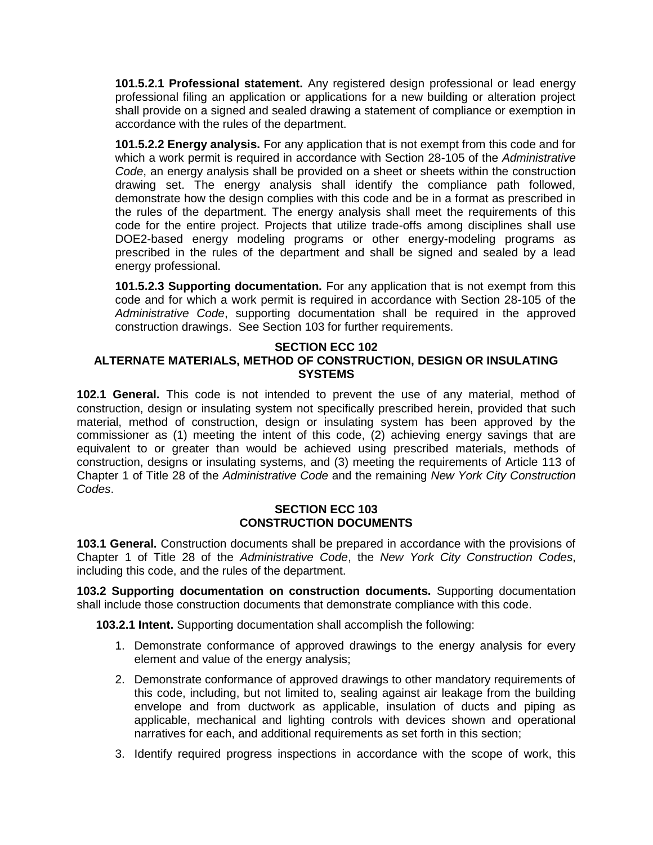**101.5.2.1 Professional statement.** Any registered design professional or lead energy professional filing an application or applications for a new building or alteration project shall provide on a signed and sealed drawing a statement of compliance or exemption in accordance with the rules of the department.

**101.5.2.2 Energy analysis.** For any application that is not exempt from this code and for which a work permit is required in accordance with Section 28-105 of the *Administrative Code*, an energy analysis shall be provided on a sheet or sheets within the construction drawing set. The energy analysis shall identify the compliance path followed, demonstrate how the design complies with this code and be in a format as prescribed in the rules of the department. The energy analysis shall meet the requirements of this code for the entire project. Projects that utilize trade-offs among disciplines shall use DOE2-based energy modeling programs or other energy-modeling programs as prescribed in the rules of the department and shall be signed and sealed by a lead energy professional.

**101.5.2.3 Supporting documentation.** For any application that is not exempt from this code and for which a work permit is required in accordance with Section 28-105 of the *Administrative Code*, supporting documentation shall be required in the approved construction drawings. See Section 103 for further requirements.

#### **SECTION ECC 102**

## **ALTERNATE MATERIALS, METHOD OF CONSTRUCTION, DESIGN OR INSULATING SYSTEMS**

**102.1 General.** This code is not intended to prevent the use of any material, method of construction, design or insulating system not specifically prescribed herein, provided that such material, method of construction, design or insulating system has been approved by the commissioner as (1) meeting the intent of this code, (2) achieving energy savings that are equivalent to or greater than would be achieved using prescribed materials, methods of construction, designs or insulating systems, and (3) meeting the requirements of Article 113 of Chapter 1 of Title 28 of the *Administrative Code* and the remaining *New York City Construction Codes*.

#### **SECTION ECC 103 CONSTRUCTION DOCUMENTS**

**103.1 General.** Construction documents shall be prepared in accordance with the provisions of Chapter 1 of Title 28 of the *Administrative Code*, the *New York City Construction Codes*, including this code, and the rules of the department.

**103.2 Supporting documentation on construction documents.** Supporting documentation shall include those construction documents that demonstrate compliance with this code.

**103.2.1 Intent.** Supporting documentation shall accomplish the following:

- 1. Demonstrate conformance of approved drawings to the energy analysis for every element and value of the energy analysis;
- 2. Demonstrate conformance of approved drawings to other mandatory requirements of this code, including, but not limited to, sealing against air leakage from the building envelope and from ductwork as applicable, insulation of ducts and piping as applicable, mechanical and lighting controls with devices shown and operational narratives for each, and additional requirements as set forth in this section;
- 3. Identify required progress inspections in accordance with the scope of work, this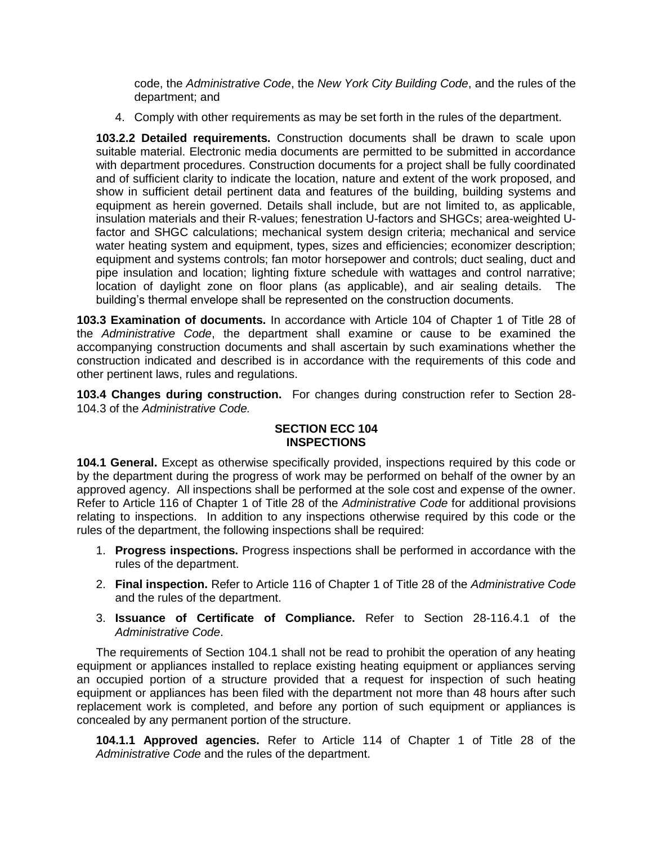code, the *Administrative Code*, the *New York City Building Code*, and the rules of the department; and

4. Comply with other requirements as may be set forth in the rules of the department.

**103.2.2 Detailed requirements.** Construction documents shall be drawn to scale upon suitable material. Electronic media documents are permitted to be submitted in accordance with department procedures. Construction documents for a project shall be fully coordinated and of sufficient clarity to indicate the location, nature and extent of the work proposed, and show in sufficient detail pertinent data and features of the building, building systems and equipment as herein governed. Details shall include, but are not limited to, as applicable, insulation materials and their R-values; fenestration U-factors and SHGCs; area-weighted Ufactor and SHGC calculations; mechanical system design criteria; mechanical and service water heating system and equipment, types, sizes and efficiencies; economizer description; equipment and systems controls; fan motor horsepower and controls; duct sealing, duct and pipe insulation and location; lighting fixture schedule with wattages and control narrative; location of daylight zone on floor plans (as applicable), and air sealing details. The building's thermal envelope shall be represented on the construction documents.

**103.3 Examination of documents.** In accordance with Article 104 of Chapter 1 of Title 28 of the *Administrative Code*, the department shall examine or cause to be examined the accompanying construction documents and shall ascertain by such examinations whether the construction indicated and described is in accordance with the requirements of this code and other pertinent laws, rules and regulations.

**103.4 Changes during construction.** For changes during construction refer to Section 28- 104.3 of the *Administrative Code.*

## **SECTION ECC 104 INSPECTIONS**

**104.1 General.** Except as otherwise specifically provided, inspections required by this code or by the department during the progress of work may be performed on behalf of the owner by an approved agency. All inspections shall be performed at the sole cost and expense of the owner. Refer to Article 116 of Chapter 1 of Title 28 of the *Administrative Code* for additional provisions relating to inspections. In addition to any inspections otherwise required by this code or the rules of the department, the following inspections shall be required:

- 1. **Progress inspections.** Progress inspections shall be performed in accordance with the rules of the department.
- 2. **Final inspection.** Refer to Article 116 of Chapter 1 of Title 28 of the *Administrative Code* and the rules of the department.
- 3. **Issuance of Certificate of Compliance.** Refer to Section 28-116.4.1 of the *Administrative Code*.

The requirements of Section 104.1 shall not be read to prohibit the operation of any heating equipment or appliances installed to replace existing heating equipment or appliances serving an occupied portion of a structure provided that a request for inspection of such heating equipment or appliances has been filed with the department not more than 48 hours after such replacement work is completed, and before any portion of such equipment or appliances is concealed by any permanent portion of the structure.

**104.1.1 Approved agencies.** Refer to Article 114 of Chapter 1 of Title 28 of the *Administrative Code* and the rules of the department.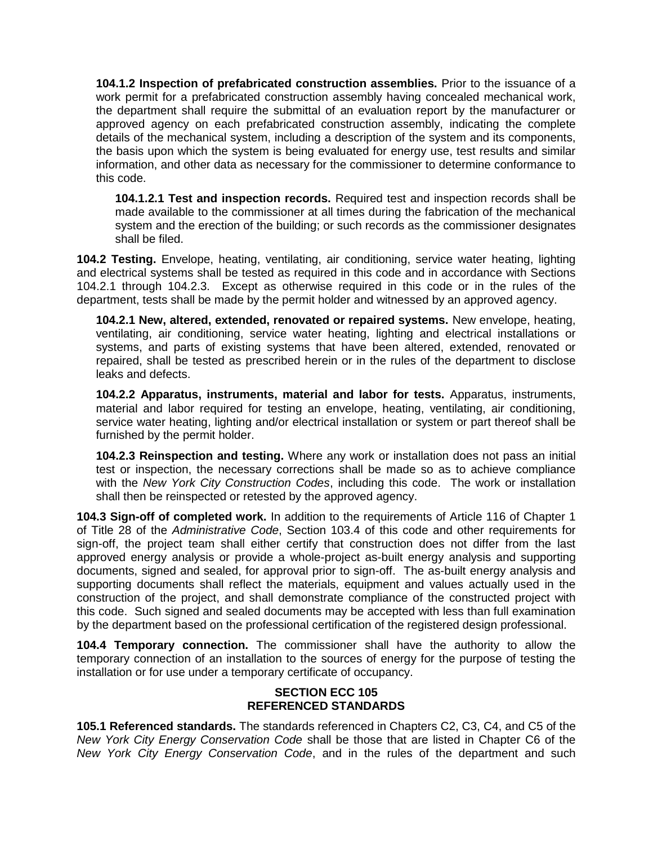**104.1.2 Inspection of prefabricated construction assemblies.** Prior to the issuance of a work permit for a prefabricated construction assembly having concealed mechanical work, the department shall require the submittal of an evaluation report by the manufacturer or approved agency on each prefabricated construction assembly, indicating the complete details of the mechanical system, including a description of the system and its components, the basis upon which the system is being evaluated for energy use, test results and similar information, and other data as necessary for the commissioner to determine conformance to this code.

**104.1.2.1 Test and inspection records.** Required test and inspection records shall be made available to the commissioner at all times during the fabrication of the mechanical system and the erection of the building; or such records as the commissioner designates shall be filed.

**104.2 Testing.** Envelope, heating, ventilating, air conditioning, service water heating, lighting and electrical systems shall be tested as required in this code and in accordance with Sections 104.2.1 through 104.2.3. Except as otherwise required in this code or in the rules of the department, tests shall be made by the permit holder and witnessed by an approved agency.

**104.2.1 New, altered, extended, renovated or repaired systems.** New envelope, heating, ventilating, air conditioning, service water heating, lighting and electrical installations or systems, and parts of existing systems that have been altered, extended, renovated or repaired, shall be tested as prescribed herein or in the rules of the department to disclose leaks and defects.

**104.2.2 Apparatus, instruments, material and labor for tests.** Apparatus, instruments, material and labor required for testing an envelope, heating, ventilating, air conditioning, service water heating, lighting and/or electrical installation or system or part thereof shall be furnished by the permit holder.

**104.2.3 Reinspection and testing.** Where any work or installation does not pass an initial test or inspection, the necessary corrections shall be made so as to achieve compliance with the *New York City Construction Codes*, including this code. The work or installation shall then be reinspected or retested by the approved agency.

**104.3 Sign-off of completed work.** In addition to the requirements of Article 116 of Chapter 1 of Title 28 of the *Administrative Code*, Section 103.4 of this code and other requirements for sign-off, the project team shall either certify that construction does not differ from the last approved energy analysis or provide a whole-project as-built energy analysis and supporting documents, signed and sealed, for approval prior to sign-off. The as-built energy analysis and supporting documents shall reflect the materials, equipment and values actually used in the construction of the project, and shall demonstrate compliance of the constructed project with this code. Such signed and sealed documents may be accepted with less than full examination by the department based on the professional certification of the registered design professional.

**104.4 Temporary connection.** The commissioner shall have the authority to allow the temporary connection of an installation to the sources of energy for the purpose of testing the installation or for use under a temporary certificate of occupancy.

## **SECTION ECC 105 REFERENCED STANDARDS**

**105.1 Referenced standards.** The standards referenced in Chapters C2, C3, C4, and C5 of the *New York City Energy Conservation Code* shall be those that are listed in Chapter C6 of the *New York City Energy Conservation Code*, and in the rules of the department and such